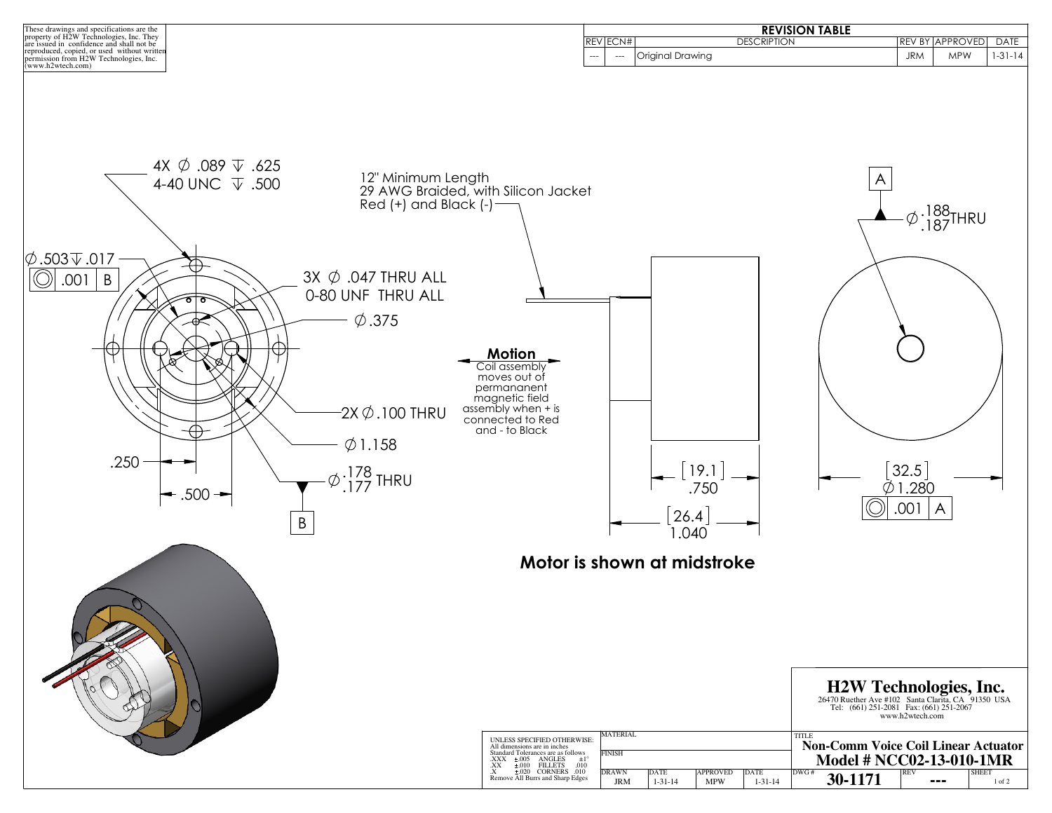